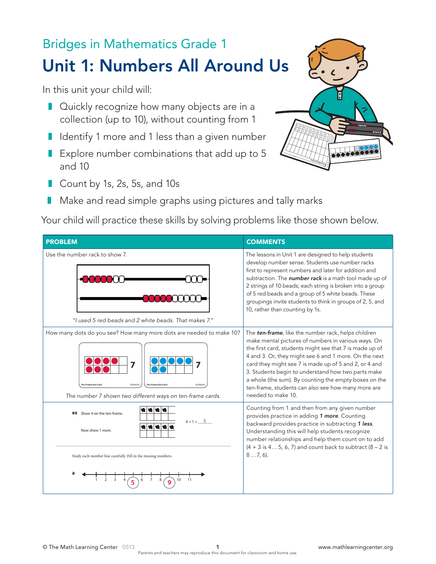## Bridges in Mathematics Grade 1 Unit 1: Numbers All Around Us

In this unit your child will:

- Quickly recognize how many objects are in a collection (up to 10), without counting from 1
- Identify 1 more and 1 less than a given number
- Explore number combinations that add up to 5 and 10
- Count by 1s, 2s, 5s, and 10s
- Make and read simple graphs using pictures and tally marks

Your child will practice these skills by solving problems like those shown below.